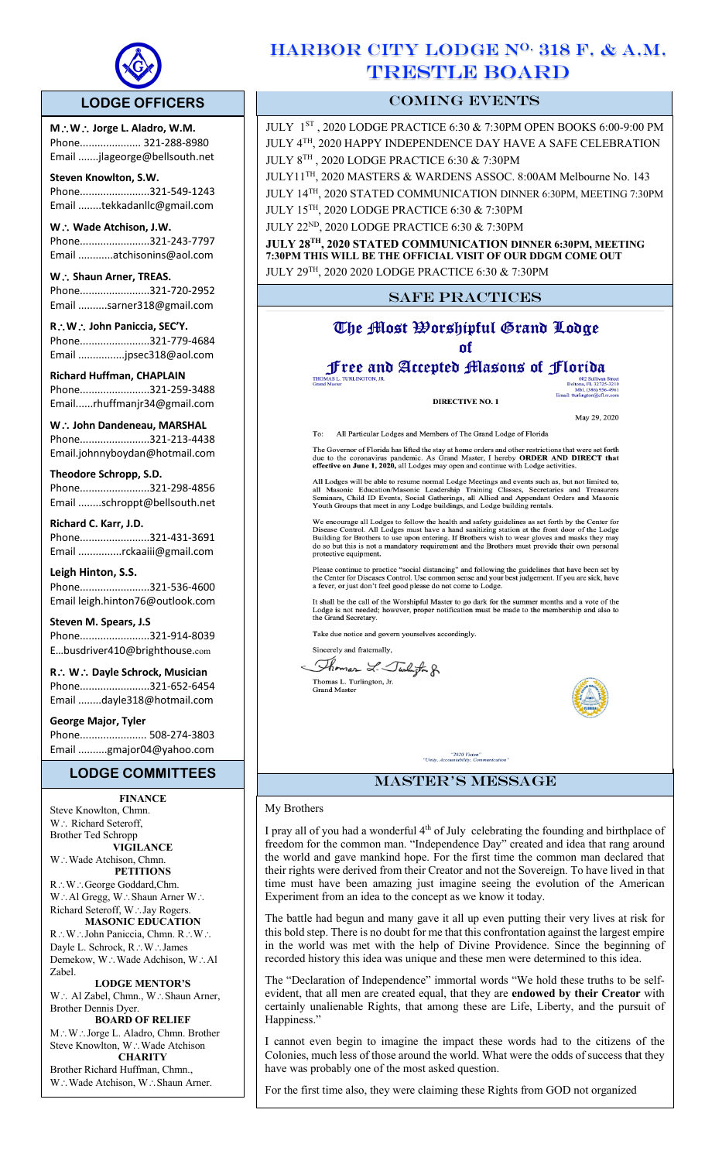

 $\overline{a}$ 

# **LODGE OFFICERS**

**M**\**W**\ **Jorge L. Aladro, W.M.** Phone..................... 321-288-8980 Email .......jlageorge@bellsouth.net

**Steven Knowlton, S.W.** Phone........................321-549-1243 Email ........tekkadanllc@gmail.com

**W** ∴ Wade Atchison, J.W. Phone........................321-243-7797 Email ............atchisonins@aol.com

W.: Shaun Arner, TREAS. Phone........................321-720-2952 Email ..........sarner318@gmail.com

**R**\**W**\ **John Paniccia, SEC'Y.** Phone........................321-779-4684 Email ................jpsec318@aol.com

**Richard Huffman, CHAPLAIN** Phone........................321-259-3488 Email......rhuffmanjr34@gmail.com

**W**. ∴ John Dandeneau, MARSHAL Phone........................321-213-4438 Email.johnnyboydan@hotmail.com

**Theodore Schropp, S.D.** 

Phone........................321-298-4856 Email ........schroppt@bellsouth.net

**Richard C. Karr, J.D.** Phone........................321-431-3691 Email ...............rckaaiii@gmail.com

**Leigh Hinton, S.S.** Phone........................321-536-4600 Email leigh.hinton76@outlook.com

**Steven M. Spears, J.S** Phone........................321-914-8039 E…busdriver410@brighthouse.com

**R**\ **W**\ **Dayle Schrock, Musician**  Phone........................321-652-6454 Email ........dayle318@hotmail.com

**George Major, Tyler**  Phone....................... 508-274-3803 Email ..........gmajor04@yahoo.com

## **LODGE COMMITTEES**

**FINANCE**

Steve Knowlton, Chmn. W.: Richard Seteroff, Brother Ted Schropp **VIGILANCE** W.: Wade Atchison, Chmn. **PETITIONS** R∴W∴George Goddard,Chm. W.: Al Gregg, W.: Shaun Arner W.: Richard Seteroff, W∴Jay Rogers. **MASONIC EDUCATION** R.W. John Paniccia, Chmn. R.W. Dayle L. Schrock, R∴W∴James Demekow, W.: Wade Adchison, W.: Al Zabel.

**LODGE MENTOR'S** W.: Al Zabel, Chmn., W.: Shaun Arner, Brother Dennis Dyer.

**BOARD OF RELIEF** M.: W.: Jorge L. Aladro, Chmn. Brother Steve Knowlton, W∴Wade Atchison **CHARITY**

Brother Richard Huffman, Chmn., W.: Wade Atchison, W.: Shaun Arner.

# HARBOR CITY LODGE N<sup>O.</sup> 318 F. & A.M. TRESTLE BOARD

# COMING EVENTS

JULY 1ST , 2020 LODGE PRACTICE 6:30 & 7:30PM OPEN BOOKS 6:00-9:00 PM JULY 4TH, 2020 HAPPY INDEPENDENCE DAY HAVE A SAFE CELEBRATION JULY 8TH , 2020 LODGE PRACTICE 6:30 & 7:30PM

JULY11TH, 2020 MASTERS & WARDENS ASSOC. 8:00AM Melbourne No. 143 JULY 14TH, 2020 STATED COMMUNICATION DINNER 6:30PM, MEETING 7:30PM JULY 15TH, 2020 LODGE PRACTICE 6:30 & 7:30PM

JULY 22ND, 2020 LODGE PRACTICE 6:30 & 7:30PM

**JULY 28TH, 2020 STATED COMMUNICATION DINNER 6:30PM, MEETING 7:30PM THIS WILL BE THE OFFICIAL VISIT OF OUR DDGM COME OUT**  JULY 29TH, 2020 2020 LODGE PRACTICE 6:30 & 7:30PM

# SAFE PRACTICES

# The Most Worshipful Grand Lodge nf

# Free and Accepted Masons of Florida

**DIRECTIVE NO. 1** 

May 29, 2020

All Particular Lodges and Members of The Grand Lodge of Florida

The Governor of Florida has lifted the stay at home orders and other restrictions that were set forth due to the coronavirus pandemic. As Grand Master, I hereby **ORDER AND DIRECT that effective on June 1, 2020**, all Lodges

All Lodges will be able to resume normal Lodge Meetings and events such as, but not limited to, all Masonic Education/Masonic Leadership Training Classes, Secretaries and Treasurers Seminars, Child ID Events, Social Gather

We encourage all Lodges to follow the health and safety guidelines as set forth by the Center for Disease Control. All Lodges must have a hand sanitizing station at the front door of the Lodge Building for Brothers to use

Please continue to practice "social distancing" and following the guidelines that have been set by the Center for Diseases Control. Use common sense and your best judgement. If you are sick, have a fever, or just don't fee

It shall be the call of the Worshipful Master to go dark for the summer months and a vote of the Lodge is not needed; however, proper notification must be made to the membership and also to the Grand Secretary.

Take due notice and govern yourselves accordingly.

Sincerely and fraternally, Thomas L. Turligton g.

Thomas L. Turlington, Jr.<br>Grand Master



# "2020 Vision"<br>ity, Accountability, Communic master's message

### My Brothers

I pray all of you had a wonderful  $4<sup>th</sup>$  of July celebrating the founding and birthplace of freedom for the common man. "Independence Day" created and idea that rang around the world and gave mankind hope. For the first time the common man declared that their rights were derived from their Creator and not the Sovereign. To have lived in that time must have been amazing just imagine seeing the evolution of the American Experiment from an idea to the concept as we know it today.

The battle had begun and many gave it all up even putting their very lives at risk for this bold step. There is no doubt for me that this confrontation against the largest empire in the world was met with the help of Divine Providence. Since the beginning of recorded history this idea was unique and these men were determined to this idea.

The "Declaration of Independence" immortal words "We hold these truths to be selfevident, that all men are created equal, that they are **endowed by their Creator** with certainly unalienable Rights, that among these are Life, Liberty, and the pursuit of Happiness."

I cannot even begin to imagine the impact these words had to the citizens of the Colonies, much less of those around the world. What were the odds of success that they have was probably one of the most asked question.

For the first time also, they were claiming these Rights from GOD not organized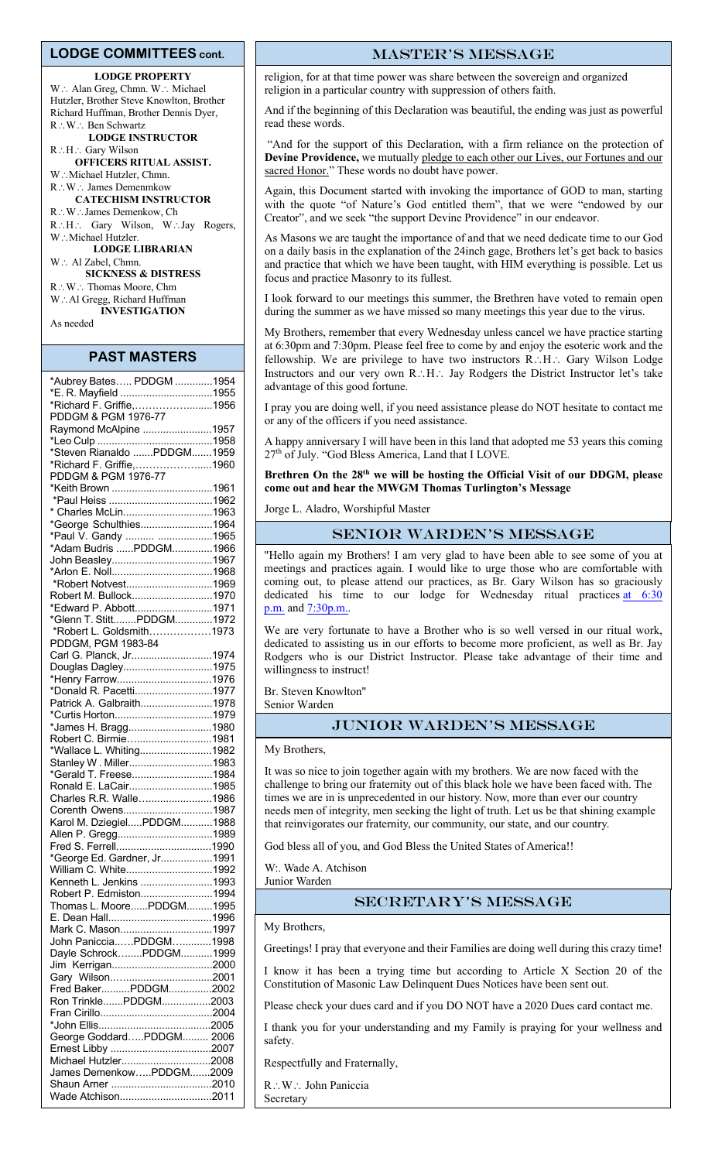#### **LODGE COMMITTEES cont.**

#### **LODGE PROPERTY**

W: Alan Greg, Chmn. W: Michael Hutzler, Brother Steve Knowlton, Brother Richard Huffman, Brother Dennis Dyer, R∴W∴ Ben Schwartz **LODGE INSTRUCTOR**

R.: H.: Gary Wilson **OFFICERS RITUAL ASSIST.** W.: Michael Hutzler, Chmn.

R∴W∴ James Demenmkow **CATECHISM INSTRUCTOR** R∴W∴James Demenkow, Ch R.H.: Gary Wilson, W.Jay Rogers, W.: Michael Hutzler. **LODGE LIBRARIAN** W: Al Zabel, Chmn. **SICKNESS & DISTRESS** R∴W∴ Thomas Moore, Chm W∴Al Gregg, Richard Huffman

**INVESTIGATION** As needed

#### **PAST MASTERS**

| *Aubrey Bates PDDGM 1954    |  |
|-----------------------------|--|
| *E. R. Mayfield 1955        |  |
| *Richard F. Griffie,1956    |  |
| PDDGM & PGM 1976-77         |  |
| Raymond McAlpine 1957       |  |
|                             |  |
| *Steven Rianaldo PDDGM1959  |  |
| *Richard F. Griffie,1960    |  |
| PDDGM & PGM 1976-77         |  |
| *Keith Brown 1961           |  |
|                             |  |
| * Charles McLin1963         |  |
| *George Schulthies1964      |  |
|                             |  |
| *Paul V. Gandy  1965        |  |
| *Adam Budris PDDGM1966      |  |
| John Beasley1967            |  |
|                             |  |
| *Robert Notvest1969         |  |
| Robert M. Bullock1970       |  |
| *Edward P. Abbott1971       |  |
| *Glenn T. StittPDDGM1972    |  |
| *Robert L. Goldsmith1973    |  |
| PDDGM, PGM 1983-84          |  |
| Carl G. Planck, Jr1974      |  |
| Douglas Dagley1975          |  |
| *Henry Farrow1976           |  |
| *Donald R. Pacetti1977      |  |
| Patrick A. Galbraith1978    |  |
|                             |  |
| *James H. Bragg1980         |  |
| Robert C. Birmie1981        |  |
| *Wallace L. Whiting1982     |  |
| Stanley W. Miller1983       |  |
| *Gerald T. Freese1984       |  |
| Ronald E. LaCair1985        |  |
| Charles R.R. Walle1986      |  |
| Corenth Owens1987           |  |
| Karol M. DziegielPDDGM1988  |  |
| Allen P. Gregg1989          |  |
|                             |  |
| *George Ed. Gardner, Jr1991 |  |
| William C. White1992        |  |
| Kenneth L. Jenkins 1993     |  |
| Robert P. Edmiston1994      |  |
| Thomas L. MoorePDDGM1995    |  |
|                             |  |
| Mark C. Mason1997           |  |
| John PanicciaPDDGM1998      |  |
| Dayle SchrockPDDGM1999      |  |
|                             |  |
| Gary Wilson2001             |  |
| Fred BakerPDDGM2002         |  |
| Ron TrinklePDDGM2003        |  |
|                             |  |
|                             |  |
|                             |  |
| George GoddardPDDGM 2006    |  |
|                             |  |
| Michael Hutzler2008         |  |
| James DemenkowPDDGM2009     |  |
|                             |  |
| Wade Atchison2011           |  |

#### master's message

religion, for at that time power was share between the sovereign and organized religion in a particular country with suppression of others faith.

And if the beginning of this Declaration was beautiful, the ending was just as powerful read these words.

"And for the support of this Declaration, with a firm reliance on the protection of **Devine Providence,** we mutually pledge to each other our Lives, our Fortunes and our sacred Honor." These words no doubt have power.

Again, this Document started with invoking the importance of GOD to man, starting with the quote "of Nature's God entitled them", that we were "endowed by our Creator", and we seek "the support Devine Providence" in our endeavor.

As Masons we are taught the importance of and that we need dedicate time to our God on a daily basis in the explanation of the 24inch gage, Brothers let's get back to basics and practice that which we have been taught, with HIM everything is possible. Let us focus and practice Masonry to its fullest.

I look forward to our meetings this summer, the Brethren have voted to remain open during the summer as we have missed so many meetings this year due to the virus.

My Brothers, remember that every Wednesday unless cancel we have practice starting at 6:30pm and 7:30pm. Please feel free to come by and enjoy the esoteric work and the fellowship. We are privilege to have two instructors  $R.H.:$  Gary Wilson Lodge Instructors and our very own R. $:H\colon$  Jay Rodgers the District Instructor let's take advantage of this good fortune.

I pray you are doing well, if you need assistance please do NOT hesitate to contact me or any of the officers if you need assistance.

A happy anniversary I will have been in this land that adopted me 53 years this coming 27th of July. "God Bless America, Land that I LOVE.

#### **Brethren On the 28th we will be hosting the Official Visit of our DDGM, please come out and hear the MWGM Thomas Turlington's Message**

Jorge L. Aladro, Worshipful Master

## Senior Warden's message

"Hello again my Brothers! I am very glad to have been able to see some of you at meetings and practices again. I would like to urge those who are comfortable with coming out, to please attend our practices, as Br. Gary Wilson has so graciously dedicated his time to our lodge for Wednesday ritual practices at 6:30 p.m. and 7:30p.m..

We are very fortunate to have a Brother who is so well versed in our ritual work, dedicated to assisting us in our efforts to become more proficient, as well as Br. Jay Rodgers who is our District Instructor. Please take advantage of their time and willingness to instruct!

Br. Steven Knowlton"

Senior Warden

### Junior Warden's message

My Brothers,

It was so nice to join together again with my brothers. We are now faced with the challenge to bring our fraternity out of this black hole we have been faced with. The times we are in is unprecedented in our history. Now, more than ever our country needs men of integrity, men seeking the light of truth. Let us be that shining example that reinvigorates our fraternity, our community, our state, and our country.

God bless all of you, and God Bless the United States of America!!

W:. Wade A. Atchison Junior Warden

#### Secretary's message

My Brothers,

Greetings! I pray that everyone and their Families are doing well during this crazy time!

I know it has been a trying time but according to Article X Section 20 of the Constitution of Masonic Law Delinquent Dues Notices have been sent out.

Please check your dues card and if you DO NOT have a 2020 Dues card contact me.

I thank you for your understanding and my Family is praying for your wellness and safety.

Respectfully and Fraternally,

 $R:W:$  John Paniccia Secretary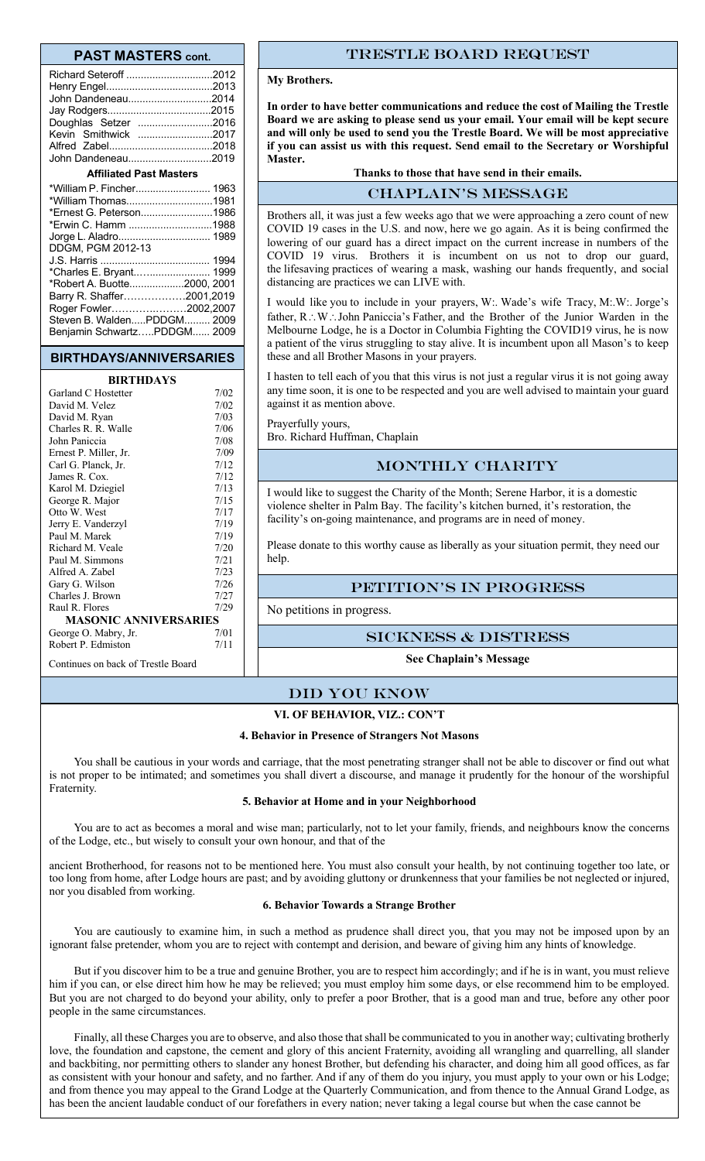#### **PAST MASTERS cont.**

| Richard Seteroff 2012                                                 |  |  |  |  |
|-----------------------------------------------------------------------|--|--|--|--|
| John Dandeneau2014                                                    |  |  |  |  |
|                                                                       |  |  |  |  |
| Doughlas Setzer 2016                                                  |  |  |  |  |
| Kevin Smithwick 2017                                                  |  |  |  |  |
|                                                                       |  |  |  |  |
| John Dandeneau2019                                                    |  |  |  |  |
| <b>Affiliated Past Masters</b>                                        |  |  |  |  |
|                                                                       |  |  |  |  |
| *William Thomas1981                                                   |  |  |  |  |
| *Ernest G. Peterson1986                                               |  |  |  |  |
| *Erwin C. Hamm 1988                                                   |  |  |  |  |
| Jorge L. Aladro 1989                                                  |  |  |  |  |
| DDGM, PGM 2012-13                                                     |  |  |  |  |
|                                                                       |  |  |  |  |
| *Charles E. Bryant 1999<br>$*D_{\text{sh}} \sim A \cdot D_{\text{h}}$ |  |  |  |  |

\*Robert A. Buotte...................2000, 2001 Barry R. Shaffer………………2001,2019 Roger Fowler………….………2002,2007 Steven B. Walden.....PDDGM......... 2009 Benjamin Schwartz…..PDDGM...... 2009

# **BIRTHDAYS/ANNIVERSARIES**

### **BIRTHDAYS**

| Garland C Hostetter          | 7/02 |
|------------------------------|------|
| David M. Velez               | 7/02 |
| David M. Ryan                | 7/03 |
| Charles R. R. Walle          | 7/06 |
| John Paniccia                | 7/08 |
| Ernest P. Miller, Jr.        | 7/09 |
| Carl G. Planck, Jr.          | 7/12 |
| James R. Cox.                | 7/12 |
| Karol M. Dziegiel            | 7/13 |
| George R. Major              | 7/15 |
| Otto W. West                 | 7/17 |
| Jerry E. Vanderzyl           | 7/19 |
| Paul M. Marek                | 7/19 |
| Richard M. Veale             | 7/20 |
| Paul M. Simmons              | 7/21 |
| Alfred A. Zabel              | 7/23 |
| Gary G. Wilson               | 7/26 |
| Charles J. Brown             | 7/27 |
| Raul R. Flores               | 7/29 |
| <b>MASONIC ANNIVERSARIES</b> |      |
| George O. Mabry, Jr.         | 7/01 |
| Robert P. Edmiston           | 7/11 |
|                              |      |

Continues on back of Trestle Board

### Trestle board request

#### **My Brothers.**

**In order to have better communications and reduce the cost of Mailing the Trestle Board we are asking to please send us your email. Your email will be kept secure and will only be used to send you the Trestle Board. We will be most appreciative if you can assist us with this request. Send email to the Secretary or Worshipful Master.**

#### **Thanks to those that have send in their emails.**

#### CHAPLAIN's message

Brothers all, it was just a few weeks ago that we were approaching a zero count of new COVID 19 cases in the U.S. and now, here we go again. As it is being confirmed the lowering of our guard has a direct impact on the current increase in numbers of the COVID 19 virus. Brothers it is incumbent on us not to drop our guard, the lifesaving practices of wearing a mask, washing our hands frequently, and social distancing are practices we can LIVE with.

I would like you to include in your prayers, W:. Wade's wife Tracy, M:.W:. Jorge's father, R.W. John Paniccia's Father, and the Brother of the Junior Warden in the Melbourne Lodge, he is a Doctor in Columbia Fighting the COVID19 virus, he is now a patient of the virus struggling to stay alive. It is incumbent upon all Mason's to keep these and all Brother Masons in your prayers.

I hasten to tell each of you that this virus is not just a regular virus it is not going away any time soon, it is one to be respected and you are well advised to maintain your guard against it as mention above.

Prayerfully yours, Bro. Richard Huffman, Chaplain

### MONTHLY CHARITY

I would like to suggest the Charity of the Month; Serene Harbor, it is a domestic violence shelter in Palm Bay. The facility's kitchen burned, it's restoration, the facility's on-going maintenance, and programs are in need of money.

Please donate to this worthy cause as liberally as your situation permit, they need our help

#### PETITION'S IN PROGRESS

No petitions in progress.

Sickness & distress

**See Chaplain's Message**

#### Did you know

#### **VI. OF BEHAVIOR, VIZ.: CON'T**

#### **4. Behavior in Presence of Strangers Not Masons**

You shall be cautious in your words and carriage, that the most penetrating stranger shall not be able to discover or find out what is not proper to be intimated; and sometimes you shall divert a discourse, and manage it prudently for the honour of the worshipful Fraternity.

#### **5. Behavior at Home and in your Neighborhood**

You are to act as becomes a moral and wise man; particularly, not to let your family, friends, and neighbours know the concerns of the Lodge, etc., but wisely to consult your own honour, and that of the

ancient Brotherhood, for reasons not to be mentioned here. You must also consult your health, by not continuing together too late, or too long from home, after Lodge hours are past; and by avoiding gluttony or drunkenness that your families be not neglected or injured, nor you disabled from working.

#### **6. Behavior Towards a Strange Brother**

You are cautiously to examine him, in such a method as prudence shall direct you, that you may not be imposed upon by an ignorant false pretender, whom you are to reject with contempt and derision, and beware of giving him any hints of knowledge.

But if you discover him to be a true and genuine Brother, you are to respect him accordingly; and if he is in want, you must relieve him if you can, or else direct him how he may be relieved; you must employ him some days, or else recommend him to be employed. But you are not charged to do beyond your ability, only to prefer a poor Brother, that is a good man and true, before any other poor people in the same circumstances.

Finally, all these Charges you are to observe, and also those that shall be communicated to you in another way; cultivating brotherly love, the foundation and capstone, the cement and glory of this ancient Fraternity, avoiding all wrangling and quarrelling, all slander and backbiting, nor permitting others to slander any honest Brother, but defending his character, and doing him all good offices, as far as consistent with your honour and safety, and no farther. And if any of them do you injury, you must apply to your own or his Lodge; and from thence you may appeal to the Grand Lodge at the Quarterly Communication, and from thence to the Annual Grand Lodge, as has been the ancient laudable conduct of our forefathers in every nation; never taking a legal course but when the case cannot be